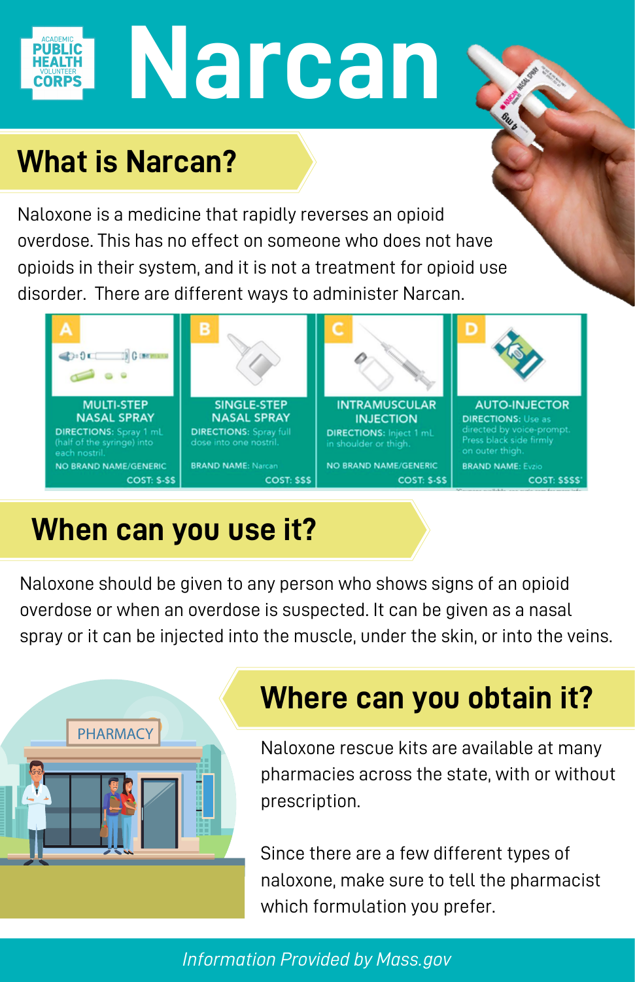# **Narcan**

## **What is Narcan?**

Naloxone is a medicine that rapidly reverses an opioid overdose. This has no effect on someone who does not have opioids in their system, and it is not a treatment for opioid use disorder. There are different ways to administer Narcan.



## **When can you use it?**

Naloxone should be given to any person who shows signs of an opioid overdose or when an overdose is suspected. It can be given as a nasal spray or it can be injected into the muscle, under the skin, or into the veins.



## **Where can you obtain it?**

Naloxone rescue kits are available at many pharmacies across the state, with or without prescription.

Since there are a few different types of [naloxone, make sure to tell the pharma](http://prescribetoprevent.org/pharmacists/formulations/)cist which formulation you prefer.

#### *Information Provided by Mass.gov*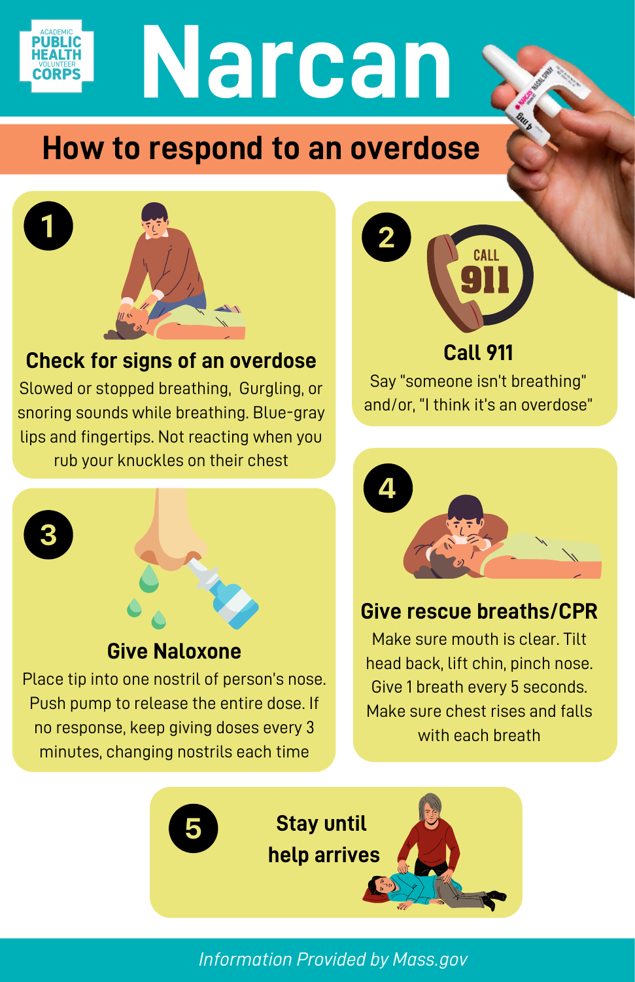

## **Narcan**

## **How to respond to an overdose**



#### **Check for signs of an overdose**

Slowed or stopped breathing, Gurgling, or snoring sounds while breathing. Blue-gray lips and fingertips. Not reacting when you rub your knuckles on their chest



#### **Give Naloxone**

Place tip into one nostril of person's nose. Push pump to release the entire dose. If no response, keep giving doses every 3 minutes, changing nostrils each time



Say "someone isn't breathing" and/or, "I think it's an overdose"



#### **Give rescue breaths/CPR**

Make sure mouth is clear. Tilt head back, lift chin, pinch nose. Give 1 breath every 5 seconds. Make sure chest rises and falls with each breath



*Information Provided by Mass.gov*